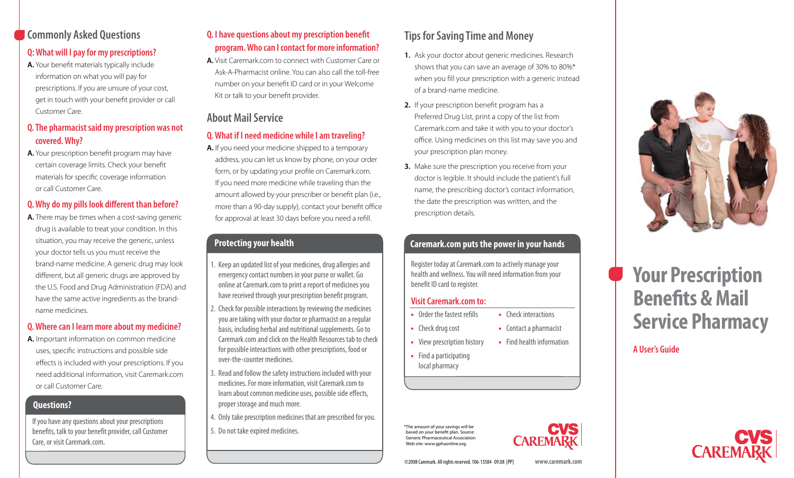## **Commonly Asked Questions**

## **Q: What will I pay for my prescriptions?**

**A.** Your benefit materials typically include information on what you will pay for prescriptions. If you are unsure of your cost, get in touch with your benefit provider or call Customer Care.

## **Q. The pharmacist said my prescription was not covered. Why?**

**A.** Your prescription benefit program may have certain coverage limits. Check your benefit materials for specific coverage information or call Customer Care.

## **Q. Why do my pills look different than before?**

**A.** There may be times when a cost-saving generic drug is available to treat your condition. In this situation, you may receive the generic, unless your doctor tells us you must receive the brand-name medicine. A generic drug may look different, but all generic drugs are approved by the U.S. Food and Drug Administration (FDA) and have the same active ingredients as the brandname medicines.

## **Q. Where can I learn more about my medicine?**

**A.** Important information on common medicine uses, specific instructions and possible side effects is included with your prescriptions. If you need additional information, visit Caremark.com or call Customer Care.

## **Questions?**

If you have any questions about your prescriptions benefits, talk to your benefit provider, call Customer Care, or visit Caremark.com.

### **Q. I have questions about my prescription benefit program. Who can I contact for more information?**

**A.** Visit Caremark.com to connect with Customer Care or Ask-A-Pharmacist online. You can also call the toll-free number on your benefit ID card or in your Welcome Kit or talk to your benefit provider.

## **About Mail Service**

### **Q. What if I need medicine while I am traveling?**

**A.** If you need your medicine shipped to a temporary address, you can let us know by phone, on your order form, or by updating your profile on Caremark.com. If you need more medicine while traveling than the amount allowed by your prescriber or benefit plan (i.e., more than a 90-day supply), contact your benefit office for approval at least 30 days before you need a refill.

### **Protecting your health**

- 1. Keep an updated list of your medicines, drug allergies and emergency contact numbers in your purse or wallet. Go online at Caremark.com to print a report of medicines you have received through your prescription benefit program.
- 2. Check for possible interactions by reviewing the medicines you are taking with your doctor or pharmacist on a regular basis, including herbal and nutritional supplements. Go to Caremark.com and click on the Health Resources tab to check for possible interactions with other prescriptions, food or over-the-counter medicines.
- 3. Read and follow the safety instructions included with your medicines. For more information, visit Caremark.com to learn about common medicine uses, possible side effects, proper storage and much more.
- 4. Only take prescription medicines that are prescribed for you.
- 5. Do not take expired medicines.

## **Tips for Saving Time and Money**

- **1.** Ask your doctor about generic medicines. Research shows that you can save an average of 30% to 80%\* when you fill your prescription with a generic instead of a brand-name medicine.
- **2.** If your prescription benefit program has a Preferred Drug List, print a copy of the list from Caremark.com and take it with you to your doctor's office. Using medicines on this list may save you and your prescription plan money.
- **3.** Make sure the prescription you receive from your doctor is legible. It should include the patient's full name, the prescribing doctor's contact information, the date the prescription was written, and the prescription details.

## **Caremark.com puts the power in your hands**

Register today at Caremark.com to actively manage your health and wellness. You will need information from your benefit ID card to register.

### **Visit Caremark.com to:**

- **•** Order the fastest refills **•** Check interactions
- **•** Check drug cost **•** Contact a pharmacist
- **•** View prescription history **•** Find health information
- **•** Find a participating
- local pharmacy

\*The amount of your savings will be based on your benefit plan. Source: Generic Pharmaceutical Association Web site: www.gphaonline.org.





# **Your Prescription Benefits & Mail Service Pharmacy**

**A User's Guide**